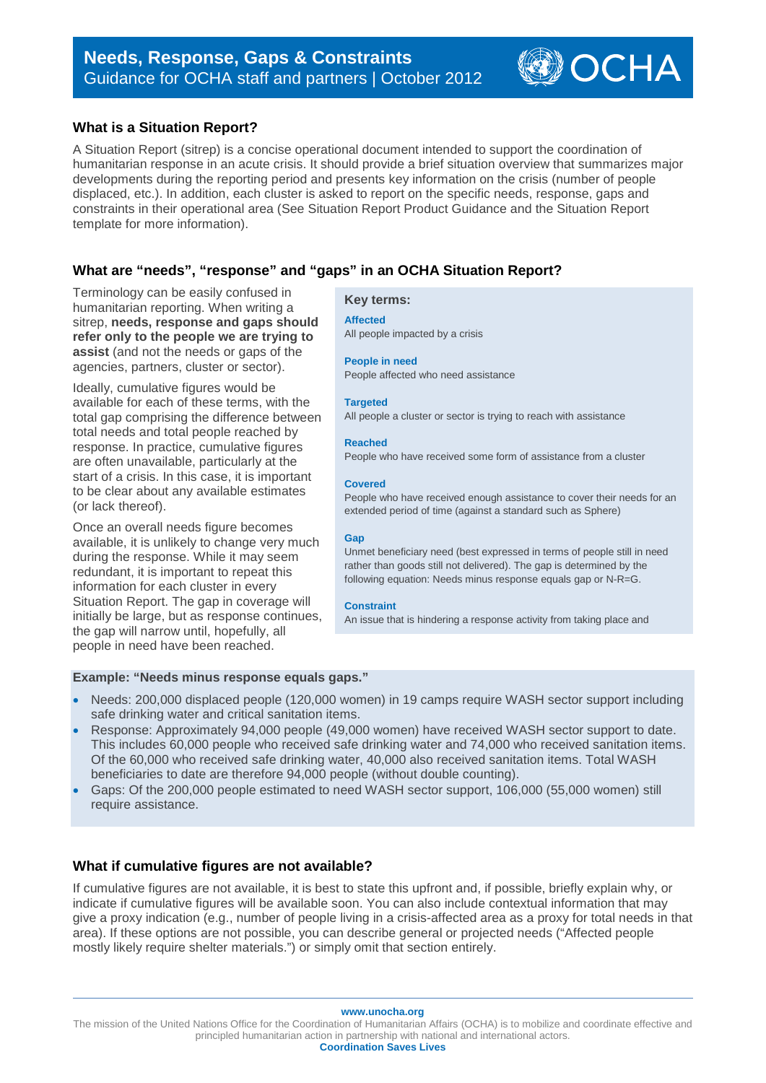# **What is a Situation Report?**

A Situation Report (sitrep) is a concise operational document intended to support the coordination of humanitarian response in an acute crisis. It should provide a brief situation overview that summarizes major developments during the reporting period and presents key information on the crisis (number of people displaced, etc.). In addition, each cluster is asked to report on the specific needs, response, gaps and constraints in their operational area (See Situation Report Product Guidance and the Situation Report template for more information).

# **What are "needs", "response" and "gaps" in an OCHA Situation Report?**

Terminology can be easily confused in humanitarian reporting. When writing a sitrep, **needs, response and gaps should refer only to the people we are trying to assist** (and not the needs or gaps of the agencies, partners, cluster or sector).

Ideally, cumulative figures would be available for each of these terms, with the total gap comprising the difference between total needs and total people reached by response. In practice, cumulative figures are often unavailable, particularly at the start of a crisis. In this case, it is important to be clear about any available estimates (or lack thereof).

Once an overall needs figure becomes available, it is unlikely to change very much during the response. While it may seem redundant, it is important to repeat this information for each cluster in every Situation Report. The gap in coverage will initially be large, but as response continues, the gap will narrow until, hopefully, all people in need have been reached.

#### **Key terms:**

#### **Affected**

All people impacted by a crisis

#### **People in need**

People affected who need assistance

#### **Targeted**

All people a cluster or sector is trying to reach with assistance

#### **Reached**

People who have received some form of assistance from a cluster

#### **Covered**

People who have received enough assistance to cover their needs for an extended period of time (against a standard such as Sphere)

OCHA

#### **Gap**

Unmet beneficiary need (best expressed in terms of people still in need rather than goods still not delivered). The gap is determined by the following equation: Needs minus response equals gap or N-R=G.

#### **Constraint**

An issue that is hindering a response activity from taking place and

# **Example: "Needs minus response equals gaps."**

- Needs: 200,000 displaced people (120,000 women) in 19 camps require WASH sector support including safe drinking water and critical sanitation items.
- Response: Approximately 94,000 people (49,000 women) have received WASH sector support to date. This includes 60,000 people who received safe drinking water and 74,000 who received sanitation items. Of the 60,000 who received safe drinking water, 40,000 also received sanitation items. Total WASH beneficiaries to date are therefore 94,000 people (without double counting).
- Gaps: Of the 200,000 people estimated to need WASH sector support, 106,000 (55,000 women) still require assistance.

# **What if cumulative figures are not available?**

If cumulative figures are not available, it is best to state this upfront and, if possible, briefly explain why, or indicate if cumulative figures will be available soon. You can also include contextual information that may give a proxy indication (e.g., number of people living in a crisis-affected area as a proxy for total needs in that area). If these options are not possible, you can describe general or projected needs ("Affected people mostly likely require shelter materials.") or simply omit that section entirely.

**www.unocha.org**

The mission of the United Nations Office for the Coordination of Humanitarian Affairs (OCHA) is to mobilize and coordinate effective and principled humanitarian action in partnership with national and international actors. **Coordination Saves Lives**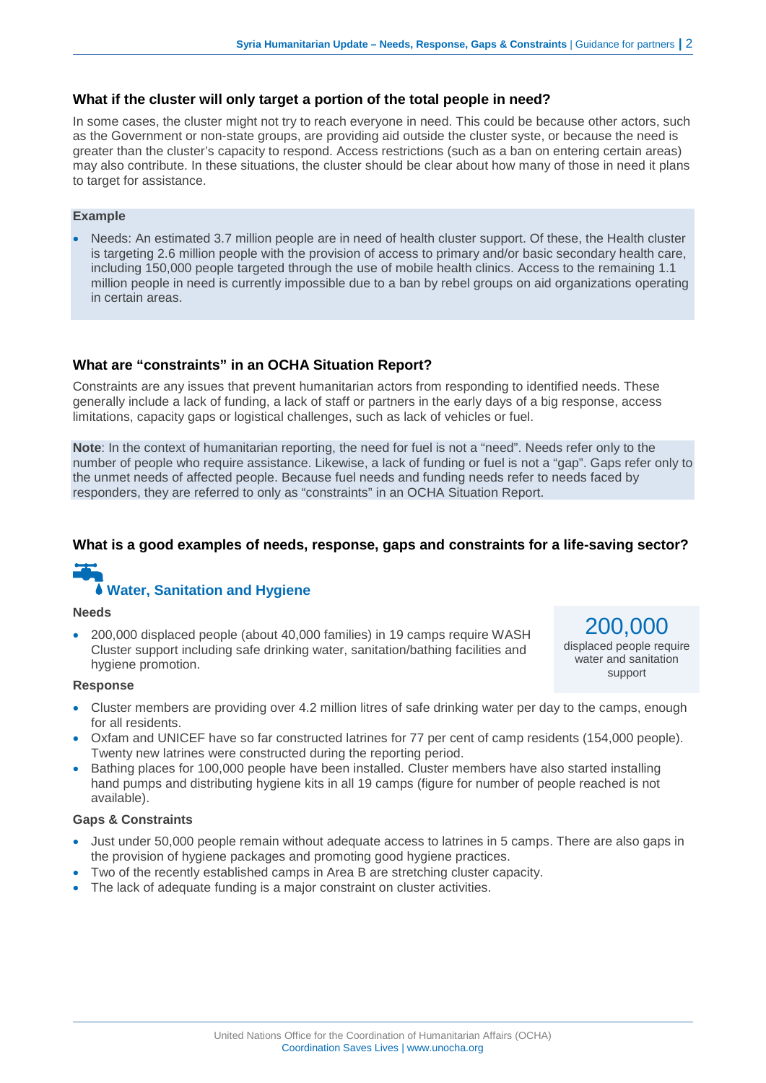# **What if the cluster will only target a portion of the total people in need?**

In some cases, the cluster might not try to reach everyone in need. This could be because other actors, such as the Government or non-state groups, are providing aid outside the cluster syste, or because the need is greater than the cluster's capacity to respond. Access restrictions (such as a ban on entering certain areas) may also contribute. In these situations, the cluster should be clear about how many of those in need it plans to target for assistance.

# **Example**

• Needs: An estimated 3.7 million people are in need of health cluster support. Of these, the Health cluster is targeting 2.6 million people with the provision of access to primary and/or basic secondary health care, including 150,000 people targeted through the use of mobile health clinics. Access to the remaining 1.1 million people in need is currently impossible due to a ban by rebel groups on aid organizations operating in certain areas.

# **What are "constraints" in an OCHA Situation Report?**

Constraints are any issues that prevent humanitarian actors from responding to identified needs. These generally include a lack of funding, a lack of staff or partners in the early days of a big response, access limitations, capacity gaps or logistical challenges, such as lack of vehicles or fuel.

**Note**: In the context of humanitarian reporting, the need for fuel is not a "need". Needs refer only to the number of people who require assistance. Likewise, a lack of funding or fuel is not a "gap". Gaps refer only to the unmet needs of affected people. Because fuel needs and funding needs refer to needs faced by responders, they are referred to only as "constraints" in an OCHA Situation Report.

# **What is a good examples of needs, response, gaps and constraints for a life-saving sector?**

# **Water, Sanitation and Hygiene**

#### **Needs**

• 200,000 displaced people (about 40,000 families) in 19 camps require WASH Cluster support including safe drinking water, sanitation/bathing facilities and hygiene promotion.

200,000 displaced people require water and sanitation support

#### **Response**

- Cluster members are providing over 4.2 million litres of safe drinking water per day to the camps, enough for all residents.
- Oxfam and UNICEF have so far constructed latrines for 77 per cent of camp residents (154,000 people). Twenty new latrines were constructed during the reporting period.
- Bathing places for 100,000 people have been installed. Cluster members have also started installing hand pumps and distributing hygiene kits in all 19 camps (figure for number of people reached is not available).

# **Gaps & Constraints**

- Just under 50,000 people remain without adequate access to latrines in 5 camps. There are also gaps in the provision of hygiene packages and promoting good hygiene practices.
- Two of the recently established camps in Area B are stretching cluster capacity.
- The lack of adequate funding is a major constraint on cluster activities.